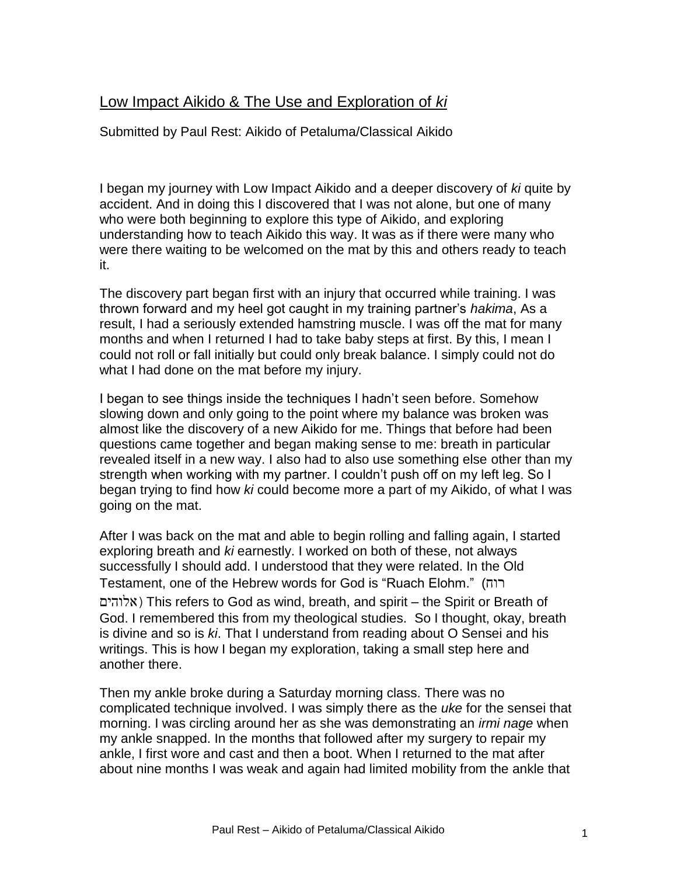## Low Impact Aikido & The Use and Exploration of *ki*

Submitted by Paul Rest: Aikido of Petaluma/Classical Aikido

I began my journey with Low Impact Aikido and a deeper discovery of *ki* quite by accident. And in doing this I discovered that I was not alone, but one of many who were both beginning to explore this type of Aikido, and exploring understanding how to teach Aikido this way. It was as if there were many who were there waiting to be welcomed on the mat by this and others ready to teach it.

The discovery part began first with an injury that occurred while training. I was thrown forward and my heel got caught in my training partner's *hakima*, As a result, I had a seriously extended hamstring muscle. I was off the mat for many months and when I returned I had to take baby steps at first. By this, I mean I could not roll or fall initially but could only break balance. I simply could not do what I had done on the mat before my injury.

I began to see things inside the techniques I hadn't seen before. Somehow slowing down and only going to the point where my balance was broken was almost like the discovery of a new Aikido for me. Things that before had been questions came together and began making sense to me: breath in particular revealed itself in a new way. I also had to also use something else other than my strength when working with my partner. I couldn't push off on my left leg. So I began trying to find how *ki* could become more a part of my Aikido, of what I was going on the mat.

After I was back on the mat and able to begin rolling and falling again, I started exploring breath and *ki* earnestly. I worked on both of these, not always successfully I should add. I understood that they were related. In the Old Testament, one of the Hebrew words for God is "Ruach Elohm." (רוח אלוהים) This refers to God as wind, breath, and spirit – the Spirit or Breath of God. I remembered this from my theological studies. So I thought, okay, breath is divine and so is *ki*. That I understand from reading about O Sensei and his writings. This is how I began my exploration, taking a small step here and another there.

Then my ankle broke during a Saturday morning class. There was no complicated technique involved. I was simply there as the *uke* for the sensei that morning. I was circling around her as she was demonstrating an *irmi nage* when my ankle snapped. In the months that followed after my surgery to repair my ankle, I first wore and cast and then a boot. When I returned to the mat after about nine months I was weak and again had limited mobility from the ankle that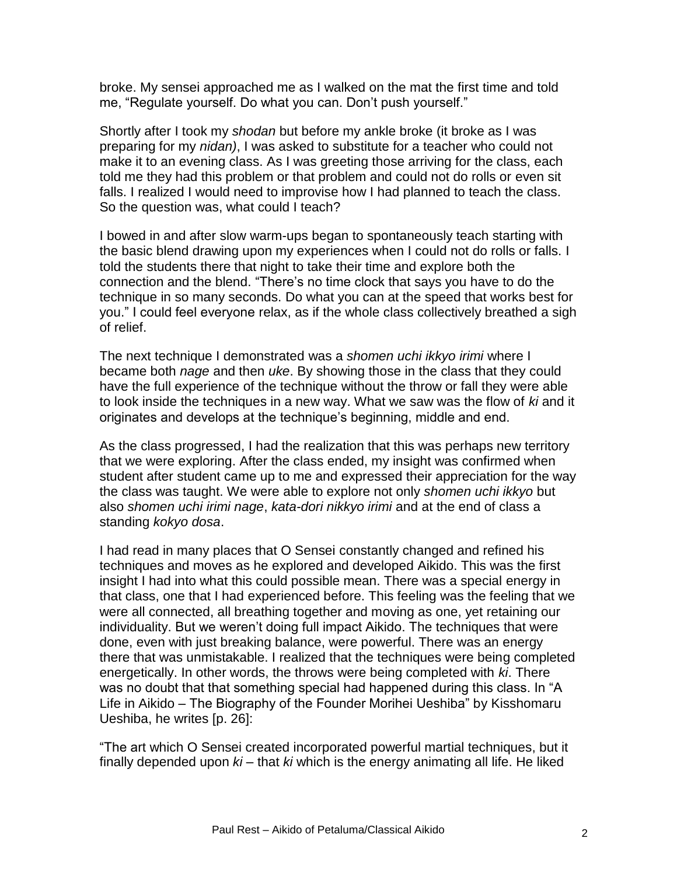broke. My sensei approached me as I walked on the mat the first time and told me, "Regulate yourself. Do what you can. Don't push yourself."

Shortly after I took my *shodan* but before my ankle broke (it broke as I was preparing for my *nidan)*, I was asked to substitute for a teacher who could not make it to an evening class. As I was greeting those arriving for the class, each told me they had this problem or that problem and could not do rolls or even sit falls. I realized I would need to improvise how I had planned to teach the class. So the question was, what could I teach?

I bowed in and after slow warm-ups began to spontaneously teach starting with the basic blend drawing upon my experiences when I could not do rolls or falls. I told the students there that night to take their time and explore both the connection and the blend. "There's no time clock that says you have to do the technique in so many seconds. Do what you can at the speed that works best for you." I could feel everyone relax, as if the whole class collectively breathed a sigh of relief.

The next technique I demonstrated was a *shomen uchi ikkyo irimi* where I became both *nage* and then *uke*. By showing those in the class that they could have the full experience of the technique without the throw or fall they were able to look inside the techniques in a new way. What we saw was the flow of *ki* and it originates and develops at the technique's beginning, middle and end.

As the class progressed, I had the realization that this was perhaps new territory that we were exploring. After the class ended, my insight was confirmed when student after student came up to me and expressed their appreciation for the way the class was taught. We were able to explore not only *shomen uchi ikkyo* but also *shomen uchi irimi nage*, *kata-dori nikkyo irimi* and at the end of class a standing *kokyo dosa*.

I had read in many places that O Sensei constantly changed and refined his techniques and moves as he explored and developed Aikido. This was the first insight I had into what this could possible mean. There was a special energy in that class, one that I had experienced before. This feeling was the feeling that we were all connected, all breathing together and moving as one, yet retaining our individuality. But we weren't doing full impact Aikido. The techniques that were done, even with just breaking balance, were powerful. There was an energy there that was unmistakable. I realized that the techniques were being completed energetically. In other words, the throws were being completed with *ki*. There was no doubt that that something special had happened during this class. In "A Life in Aikido – The Biography of the Founder Morihei Ueshiba" by Kisshomaru Ueshiba, he writes [p. 26]:

"The art which O Sensei created incorporated powerful martial techniques, but it finally depended upon *ki* – that *ki* which is the energy animating all life. He liked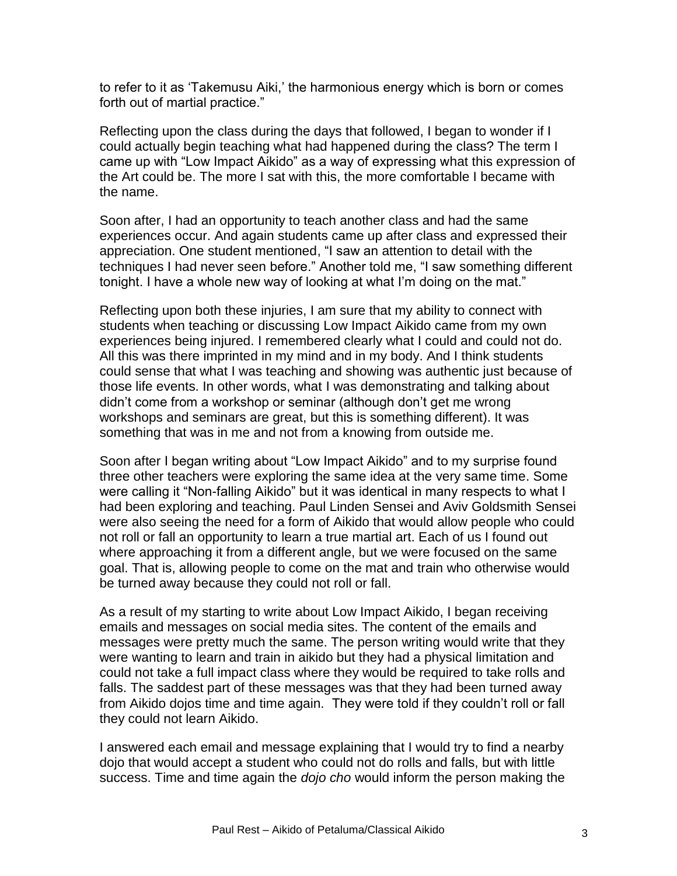to refer to it as 'Takemusu Aiki,' the harmonious energy which is born or comes forth out of martial practice."

Reflecting upon the class during the days that followed, I began to wonder if I could actually begin teaching what had happened during the class? The term I came up with "Low Impact Aikido" as a way of expressing what this expression of the Art could be. The more I sat with this, the more comfortable I became with the name.

Soon after, I had an opportunity to teach another class and had the same experiences occur. And again students came up after class and expressed their appreciation. One student mentioned, "I saw an attention to detail with the techniques I had never seen before." Another told me, "I saw something different tonight. I have a whole new way of looking at what I'm doing on the mat."

Reflecting upon both these injuries, I am sure that my ability to connect with students when teaching or discussing Low Impact Aikido came from my own experiences being injured. I remembered clearly what I could and could not do. All this was there imprinted in my mind and in my body. And I think students could sense that what I was teaching and showing was authentic just because of those life events. In other words, what I was demonstrating and talking about didn't come from a workshop or seminar (although don't get me wrong workshops and seminars are great, but this is something different). It was something that was in me and not from a knowing from outside me.

Soon after I began writing about "Low Impact Aikido" and to my surprise found three other teachers were exploring the same idea at the very same time. Some were calling it "Non-falling Aikido" but it was identical in many respects to what I had been exploring and teaching. Paul Linden Sensei and Aviv Goldsmith Sensei were also seeing the need for a form of Aikido that would allow people who could not roll or fall an opportunity to learn a true martial art. Each of us I found out where approaching it from a different angle, but we were focused on the same goal. That is, allowing people to come on the mat and train who otherwise would be turned away because they could not roll or fall.

As a result of my starting to write about Low Impact Aikido, I began receiving emails and messages on social media sites. The content of the emails and messages were pretty much the same. The person writing would write that they were wanting to learn and train in aikido but they had a physical limitation and could not take a full impact class where they would be required to take rolls and falls. The saddest part of these messages was that they had been turned away from Aikido dojos time and time again. They were told if they couldn't roll or fall they could not learn Aikido.

I answered each email and message explaining that I would try to find a nearby dojo that would accept a student who could not do rolls and falls, but with little success. Time and time again the *dojo cho* would inform the person making the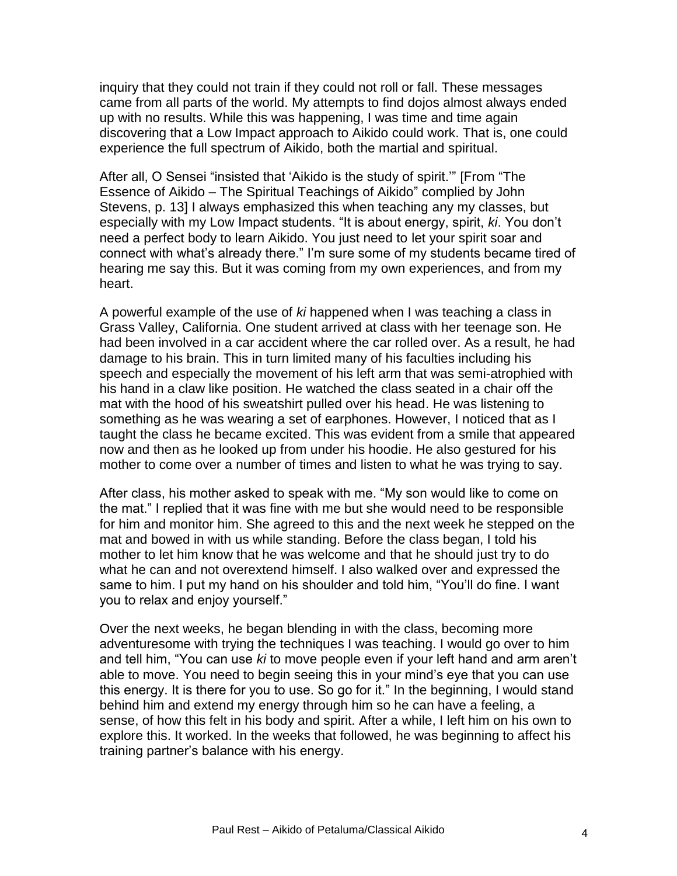inquiry that they could not train if they could not roll or fall. These messages came from all parts of the world. My attempts to find dojos almost always ended up with no results. While this was happening, I was time and time again discovering that a Low Impact approach to Aikido could work. That is, one could experience the full spectrum of Aikido, both the martial and spiritual.

After all, O Sensei "insisted that 'Aikido is the study of spirit.'" [From "The Essence of Aikido – The Spiritual Teachings of Aikido" complied by John Stevens, p. 13] I always emphasized this when teaching any my classes, but especially with my Low Impact students. "It is about energy, spirit, *ki*. You don't need a perfect body to learn Aikido. You just need to let your spirit soar and connect with what's already there." I'm sure some of my students became tired of hearing me say this. But it was coming from my own experiences, and from my heart.

A powerful example of the use of *ki* happened when I was teaching a class in Grass Valley, California. One student arrived at class with her teenage son. He had been involved in a car accident where the car rolled over. As a result, he had damage to his brain. This in turn limited many of his faculties including his speech and especially the movement of his left arm that was semi-atrophied with his hand in a claw like position. He watched the class seated in a chair off the mat with the hood of his sweatshirt pulled over his head. He was listening to something as he was wearing a set of earphones. However, I noticed that as I taught the class he became excited. This was evident from a smile that appeared now and then as he looked up from under his hoodie. He also gestured for his mother to come over a number of times and listen to what he was trying to say.

After class, his mother asked to speak with me. "My son would like to come on the mat." I replied that it was fine with me but she would need to be responsible for him and monitor him. She agreed to this and the next week he stepped on the mat and bowed in with us while standing. Before the class began, I told his mother to let him know that he was welcome and that he should just try to do what he can and not overextend himself. I also walked over and expressed the same to him. I put my hand on his shoulder and told him, "You'll do fine. I want you to relax and enjoy yourself."

Over the next weeks, he began blending in with the class, becoming more adventuresome with trying the techniques I was teaching. I would go over to him and tell him, "You can use *ki* to move people even if your left hand and arm aren't able to move. You need to begin seeing this in your mind's eye that you can use this energy. It is there for you to use. So go for it." In the beginning, I would stand behind him and extend my energy through him so he can have a feeling, a sense, of how this felt in his body and spirit. After a while, I left him on his own to explore this. It worked. In the weeks that followed, he was beginning to affect his training partner's balance with his energy.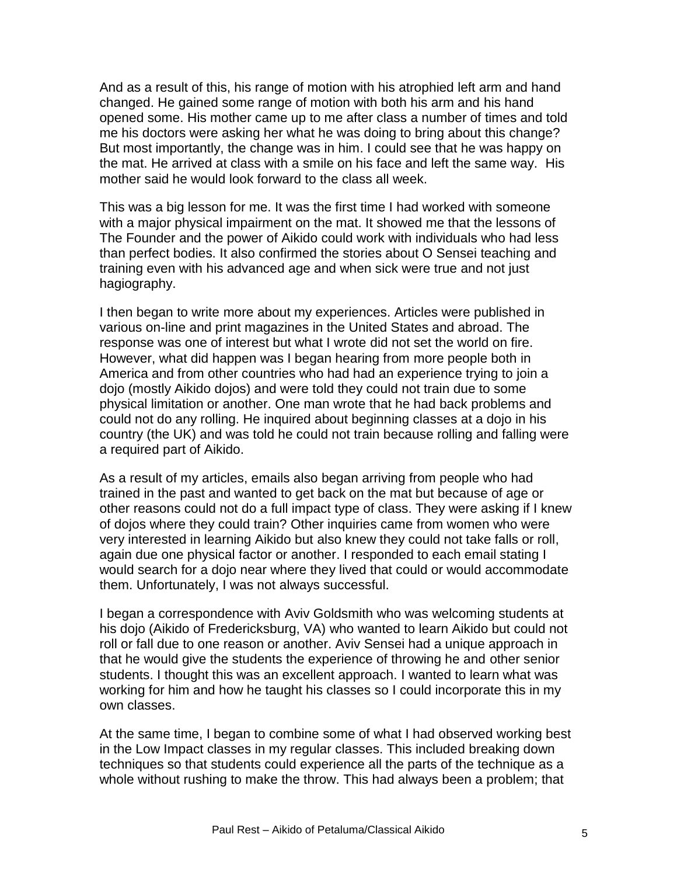And as a result of this, his range of motion with his atrophied left arm and hand changed. He gained some range of motion with both his arm and his hand opened some. His mother came up to me after class a number of times and told me his doctors were asking her what he was doing to bring about this change? But most importantly, the change was in him. I could see that he was happy on the mat. He arrived at class with a smile on his face and left the same way. His mother said he would look forward to the class all week.

This was a big lesson for me. It was the first time I had worked with someone with a major physical impairment on the mat. It showed me that the lessons of The Founder and the power of Aikido could work with individuals who had less than perfect bodies. It also confirmed the stories about O Sensei teaching and training even with his advanced age and when sick were true and not just hagiography.

I then began to write more about my experiences. Articles were published in various on-line and print magazines in the United States and abroad. The response was one of interest but what I wrote did not set the world on fire. However, what did happen was I began hearing from more people both in America and from other countries who had had an experience trying to join a dojo (mostly Aikido dojos) and were told they could not train due to some physical limitation or another. One man wrote that he had back problems and could not do any rolling. He inquired about beginning classes at a dojo in his country (the UK) and was told he could not train because rolling and falling were a required part of Aikido.

As a result of my articles, emails also began arriving from people who had trained in the past and wanted to get back on the mat but because of age or other reasons could not do a full impact type of class. They were asking if I knew of dojos where they could train? Other inquiries came from women who were very interested in learning Aikido but also knew they could not take falls or roll, again due one physical factor or another. I responded to each email stating I would search for a dojo near where they lived that could or would accommodate them. Unfortunately, I was not always successful.

I began a correspondence with Aviv Goldsmith who was welcoming students at his dojo (Aikido of Fredericksburg, VA) who wanted to learn Aikido but could not roll or fall due to one reason or another. Aviv Sensei had a unique approach in that he would give the students the experience of throwing he and other senior students. I thought this was an excellent approach. I wanted to learn what was working for him and how he taught his classes so I could incorporate this in my own classes.

At the same time, I began to combine some of what I had observed working best in the Low Impact classes in my regular classes. This included breaking down techniques so that students could experience all the parts of the technique as a whole without rushing to make the throw. This had always been a problem; that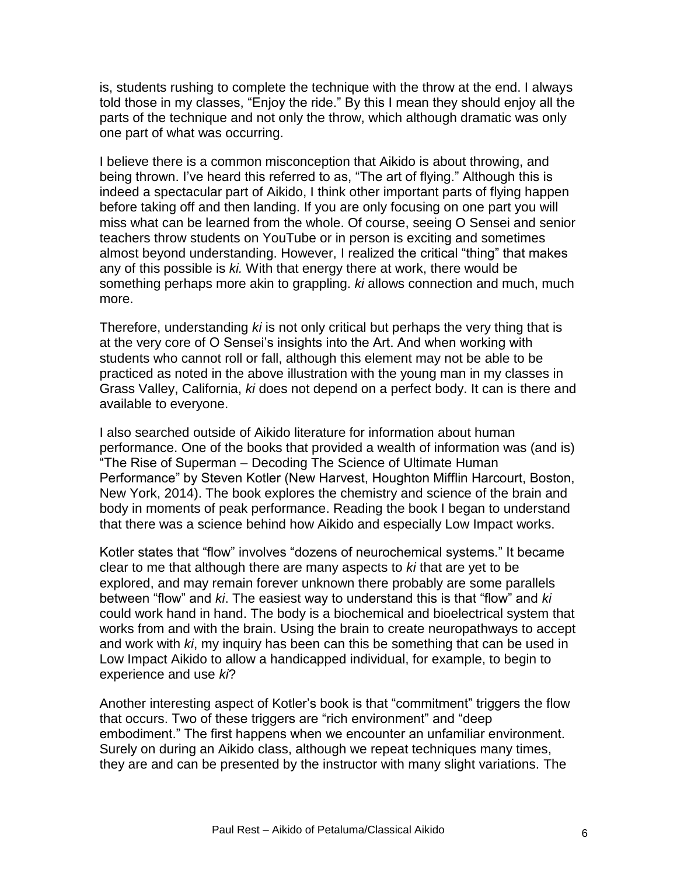is, students rushing to complete the technique with the throw at the end. I always told those in my classes, "Enjoy the ride." By this I mean they should enjoy all the parts of the technique and not only the throw, which although dramatic was only one part of what was occurring.

I believe there is a common misconception that Aikido is about throwing, and being thrown. I've heard this referred to as, "The art of flying." Although this is indeed a spectacular part of Aikido, I think other important parts of flying happen before taking off and then landing. If you are only focusing on one part you will miss what can be learned from the whole. Of course, seeing O Sensei and senior teachers throw students on YouTube or in person is exciting and sometimes almost beyond understanding. However, I realized the critical "thing" that makes any of this possible is *ki.* With that energy there at work, there would be something perhaps more akin to grappling. *ki* allows connection and much, much more.

Therefore, understanding *ki* is not only critical but perhaps the very thing that is at the very core of O Sensei's insights into the Art. And when working with students who cannot roll or fall, although this element may not be able to be practiced as noted in the above illustration with the young man in my classes in Grass Valley, California, *ki* does not depend on a perfect body. It can is there and available to everyone.

I also searched outside of Aikido literature for information about human performance. One of the books that provided a wealth of information was (and is) "The Rise of Superman – Decoding The Science of Ultimate Human Performance" by Steven Kotler (New Harvest, Houghton Mifflin Harcourt, Boston, New York, 2014). The book explores the chemistry and science of the brain and body in moments of peak performance. Reading the book I began to understand that there was a science behind how Aikido and especially Low Impact works.

Kotler states that "flow" involves "dozens of neurochemical systems." It became clear to me that although there are many aspects to *ki* that are yet to be explored, and may remain forever unknown there probably are some parallels between "flow" and *ki*. The easiest way to understand this is that "flow" and *ki* could work hand in hand. The body is a biochemical and bioelectrical system that works from and with the brain. Using the brain to create neuropathways to accept and work with *ki*, my inquiry has been can this be something that can be used in Low Impact Aikido to allow a handicapped individual, for example, to begin to experience and use *ki*?

Another interesting aspect of Kotler's book is that "commitment" triggers the flow that occurs. Two of these triggers are "rich environment" and "deep embodiment." The first happens when we encounter an unfamiliar environment. Surely on during an Aikido class, although we repeat techniques many times, they are and can be presented by the instructor with many slight variations. The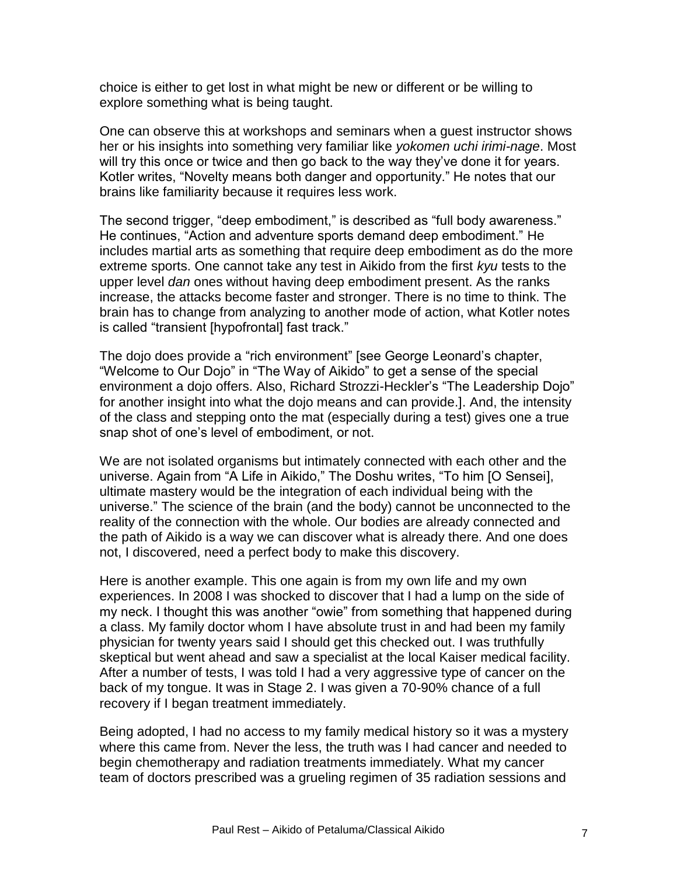choice is either to get lost in what might be new or different or be willing to explore something what is being taught.

One can observe this at workshops and seminars when a guest instructor shows her or his insights into something very familiar like *yokomen uchi irimi-nage*. Most will try this once or twice and then go back to the way they've done it for years. Kotler writes, "Novelty means both danger and opportunity." He notes that our brains like familiarity because it requires less work.

The second trigger, "deep embodiment," is described as "full body awareness." He continues, "Action and adventure sports demand deep embodiment." He includes martial arts as something that require deep embodiment as do the more extreme sports. One cannot take any test in Aikido from the first *kyu* tests to the upper level *dan* ones without having deep embodiment present. As the ranks increase, the attacks become faster and stronger. There is no time to think. The brain has to change from analyzing to another mode of action, what Kotler notes is called "transient [hypofrontal] fast track."

The dojo does provide a "rich environment" [see George Leonard's chapter, "Welcome to Our Dojo" in "The Way of Aikido" to get a sense of the special environment a dojo offers. Also, Richard Strozzi-Heckler's "The Leadership Dojo" for another insight into what the dojo means and can provide.]. And, the intensity of the class and stepping onto the mat (especially during a test) gives one a true snap shot of one's level of embodiment, or not.

We are not isolated organisms but intimately connected with each other and the universe. Again from "A Life in Aikido," The Doshu writes, "To him [O Sensei], ultimate mastery would be the integration of each individual being with the universe." The science of the brain (and the body) cannot be unconnected to the reality of the connection with the whole. Our bodies are already connected and the path of Aikido is a way we can discover what is already there. And one does not, I discovered, need a perfect body to make this discovery.

Here is another example. This one again is from my own life and my own experiences. In 2008 I was shocked to discover that I had a lump on the side of my neck. I thought this was another "owie" from something that happened during a class. My family doctor whom I have absolute trust in and had been my family physician for twenty years said I should get this checked out. I was truthfully skeptical but went ahead and saw a specialist at the local Kaiser medical facility. After a number of tests, I was told I had a very aggressive type of cancer on the back of my tongue. It was in Stage 2. I was given a 70-90% chance of a full recovery if I began treatment immediately.

Being adopted, I had no access to my family medical history so it was a mystery where this came from. Never the less, the truth was I had cancer and needed to begin chemotherapy and radiation treatments immediately. What my cancer team of doctors prescribed was a grueling regimen of 35 radiation sessions and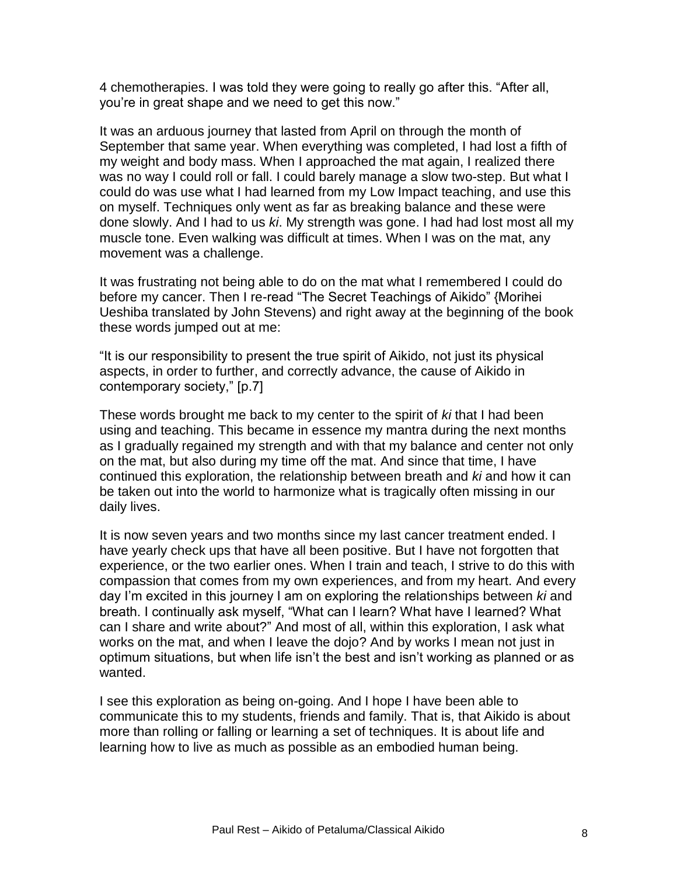4 chemotherapies. I was told they were going to really go after this. "After all, you're in great shape and we need to get this now."

It was an arduous journey that lasted from April on through the month of September that same year. When everything was completed, I had lost a fifth of my weight and body mass. When I approached the mat again, I realized there was no way I could roll or fall. I could barely manage a slow two-step. But what I could do was use what I had learned from my Low Impact teaching, and use this on myself. Techniques only went as far as breaking balance and these were done slowly. And I had to us *ki*. My strength was gone. I had had lost most all my muscle tone. Even walking was difficult at times. When I was on the mat, any movement was a challenge.

It was frustrating not being able to do on the mat what I remembered I could do before my cancer. Then I re-read "The Secret Teachings of Aikido" {Morihei Ueshiba translated by John Stevens) and right away at the beginning of the book these words jumped out at me:

"It is our responsibility to present the true spirit of Aikido, not just its physical aspects, in order to further, and correctly advance, the cause of Aikido in contemporary society," [p.7]

These words brought me back to my center to the spirit of *ki* that I had been using and teaching. This became in essence my mantra during the next months as I gradually regained my strength and with that my balance and center not only on the mat, but also during my time off the mat. And since that time, I have continued this exploration, the relationship between breath and *ki* and how it can be taken out into the world to harmonize what is tragically often missing in our daily lives.

It is now seven years and two months since my last cancer treatment ended. I have yearly check ups that have all been positive. But I have not forgotten that experience, or the two earlier ones. When I train and teach, I strive to do this with compassion that comes from my own experiences, and from my heart. And every day I'm excited in this journey I am on exploring the relationships between *ki* and breath. I continually ask myself, "What can I learn? What have I learned? What can I share and write about?" And most of all, within this exploration, I ask what works on the mat, and when I leave the dojo? And by works I mean not just in optimum situations, but when life isn't the best and isn't working as planned or as wanted.

I see this exploration as being on-going. And I hope I have been able to communicate this to my students, friends and family. That is, that Aikido is about more than rolling or falling or learning a set of techniques. It is about life and learning how to live as much as possible as an embodied human being.